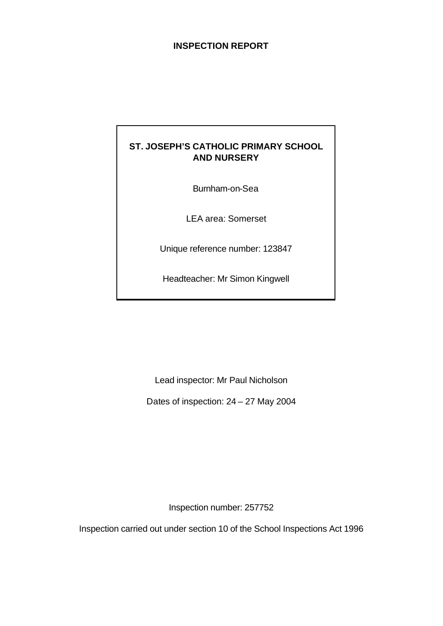### **INSPECTION REPORT**

### **ST. JOSEPH'S CATHOLIC PRIMARY SCHOOL AND NURSERY**

Burnham-on-Sea

LEA area: Somerset

Unique reference number: 123847

Headteacher: Mr Simon Kingwell

Lead inspector: Mr Paul Nicholson

Dates of inspection: 24 – 27 May 2004

Inspection number: 257752

Inspection carried out under section 10 of the School Inspections Act 1996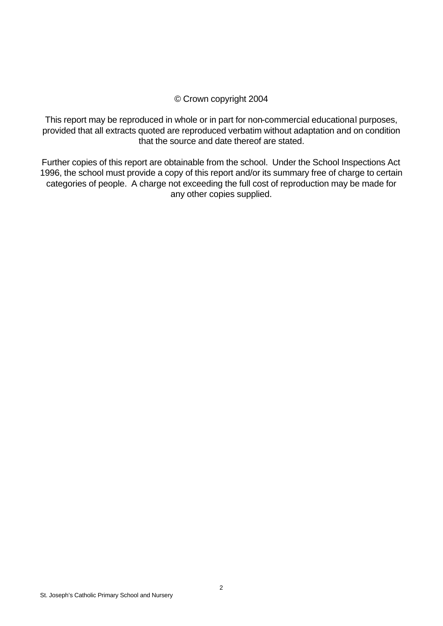### © Crown copyright 2004

This report may be reproduced in whole or in part for non-commercial educational purposes, provided that all extracts quoted are reproduced verbatim without adaptation and on condition that the source and date thereof are stated.

Further copies of this report are obtainable from the school. Under the School Inspections Act 1996, the school must provide a copy of this report and/or its summary free of charge to certain categories of people. A charge not exceeding the full cost of reproduction may be made for any other copies supplied.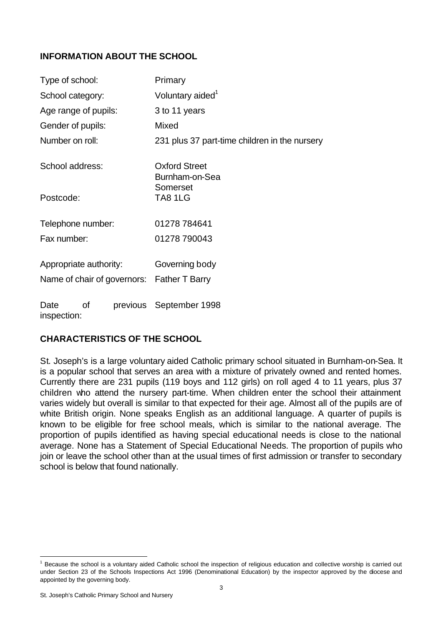### **INFORMATION ABOUT THE SCHOOL**

| Type of school:                                       | Primary                                       |  |  |
|-------------------------------------------------------|-----------------------------------------------|--|--|
| School category:                                      | Voluntary aided <sup>1</sup>                  |  |  |
| Age range of pupils:                                  | 3 to 11 years                                 |  |  |
| Gender of pupils:                                     | Mixed                                         |  |  |
| Number on roll:                                       | 231 plus 37 part-time children in the nursery |  |  |
| School address:                                       | <b>Oxford Street</b><br>Burnham-on-Sea        |  |  |
| Postcode:                                             | Somerset<br><b>TA8 1LG</b>                    |  |  |
| Telephone number:                                     | 01278 784641                                  |  |  |
| Fax number:                                           | 01278 790043                                  |  |  |
| Appropriate authority:<br>Name of chair of governors: | Governing body<br>Father T Barry              |  |  |
| οf<br>previous<br>Date                                | September 1998                                |  |  |

inspection:

### **CHARACTERISTICS OF THE SCHOOL**

St. Joseph's is a large voluntary aided Catholic primary school situated in Burnham-on-Sea. It is a popular school that serves an area with a mixture of privately owned and rented homes. Currently there are 231 pupils (119 boys and 112 girls) on roll aged 4 to 11 years, plus 37 children who attend the nursery part-time. When children enter the school their attainment varies widely but overall is similar to that expected for their age. Almost all of the pupils are of white British origin. None speaks English as an additional language. A quarter of pupils is known to be eligible for free school meals, which is similar to the national average. The proportion of pupils identified as having special educational needs is close to the national average. None has a Statement of Special Educational Needs. The proportion of pupils who join or leave the school other than at the usual times of first admission or transfer to secondary school is below that found nationally.

<sup>&</sup>lt;sup>1</sup> Because the school is a voluntary aided Catholic school the inspection of religious education and collective worship is carried out under Section 23 of the Schools Inspections Act 1996 (Denominational Education) by the inspector approved by the diocese and appointed by the governing body.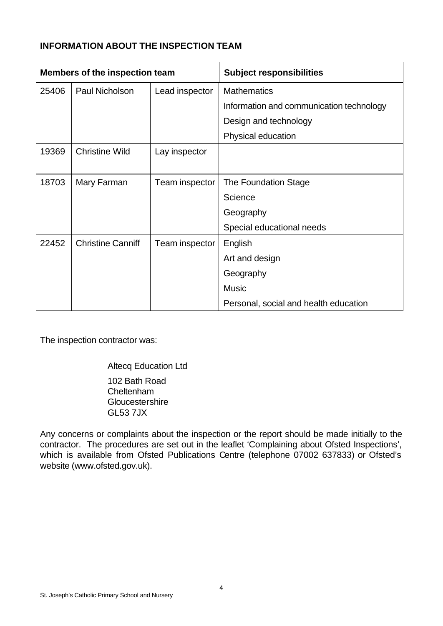### **INFORMATION ABOUT THE INSPECTION TEAM**

| Members of the inspection team |                          |                | <b>Subject responsibilities</b>          |
|--------------------------------|--------------------------|----------------|------------------------------------------|
| 25406                          | Paul Nicholson           | Lead inspector | <b>Mathematics</b>                       |
|                                |                          |                | Information and communication technology |
|                                |                          |                | Design and technology                    |
|                                |                          |                | Physical education                       |
| 19369                          | <b>Christine Wild</b>    | Lay inspector  |                                          |
|                                |                          |                |                                          |
| 18703                          | Mary Farman              | Team inspector | The Foundation Stage                     |
|                                |                          |                | Science                                  |
|                                |                          |                | Geography                                |
|                                |                          |                | Special educational needs                |
| 22452                          | <b>Christine Canniff</b> | Team inspector | English                                  |
|                                |                          |                | Art and design                           |
|                                |                          |                | Geography                                |
|                                |                          |                | <b>Music</b>                             |
|                                |                          |                | Personal, social and health education    |

The inspection contractor was:

Altecq Education Ltd

102 Bath Road Cheltenham **Gloucestershire** GL53 7JX

Any concerns or complaints about the inspection or the report should be made initially to the contractor. The procedures are set out in the leaflet 'Complaining about Ofsted Inspections', which is available from Ofsted Publications Centre (telephone 07002 637833) or Ofsted's website (www.ofsted.gov.uk).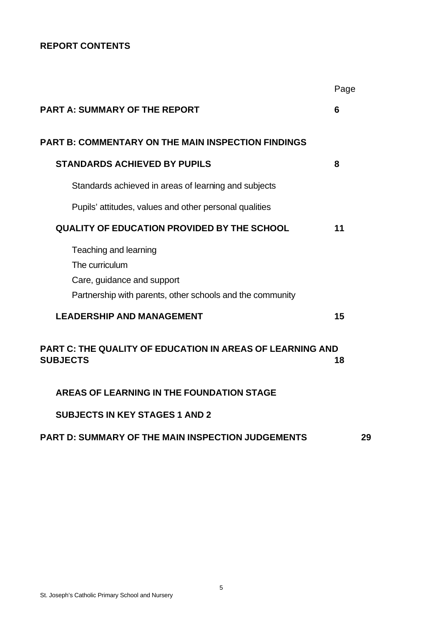### **REPORT CONTENTS**

|                                                                                                                                    | Page |
|------------------------------------------------------------------------------------------------------------------------------------|------|
| <b>PART A: SUMMARY OF THE REPORT</b>                                                                                               | 6    |
| <b>PART B: COMMENTARY ON THE MAIN INSPECTION FINDINGS</b>                                                                          |      |
| <b>STANDARDS ACHIEVED BY PUPILS</b>                                                                                                | 8    |
| Standards achieved in areas of learning and subjects                                                                               |      |
| Pupils' attitudes, values and other personal qualities                                                                             |      |
| <b>QUALITY OF EDUCATION PROVIDED BY THE SCHOOL</b>                                                                                 | 11   |
| Teaching and learning<br>The curriculum<br>Care, guidance and support<br>Partnership with parents, other schools and the community |      |
| <b>LEADERSHIP AND MANAGEMENT</b>                                                                                                   | 15   |
| <b>PART C: THE QUALITY OF EDUCATION IN AREAS OF LEARNING AND</b><br><b>SUBJECTS</b>                                                | 18   |
| AREAS OF LEARNING IN THE FOUNDATION STAGE                                                                                          |      |
| <b>SUBJECTS IN KEY STAGES 1 AND 2</b>                                                                                              |      |

### **PART D: SUMMARY OF THE MAIN INSPECTION JUDGEMENTS 29**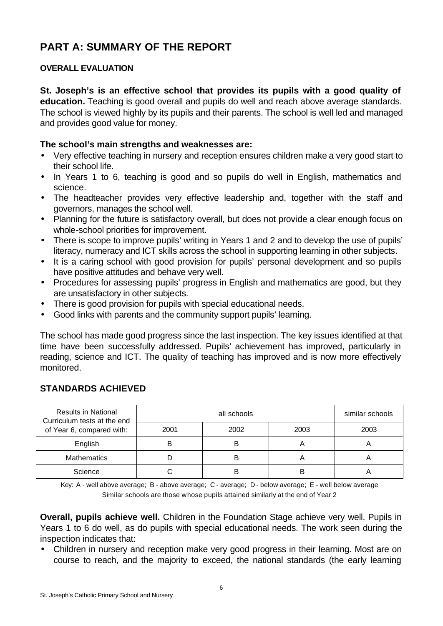# **PART A: SUMMARY OF THE REPORT**

### **OVERALL EVALUATION**

**St. Joseph's is an effective school that provides its pupils with a good quality of education.** Teaching is good overall and pupils do well and reach above average standards. The school is viewed highly by its pupils and their parents. The school is well led and managed and provides good value for money.

### **The school's main strengths and weaknesses are:**

- Very effective teaching in nursery and reception ensures children make a very good start to their school life.
- In Years 1 to 6, teaching is good and so pupils do well in English, mathematics and science.
- The headteacher provides very effective leadership and, together with the staff and governors, manages the school well.
- Planning for the future is satisfactory overall, but does not provide a clear enough focus on whole-school priorities for improvement.
- There is scope to improve pupils' writing in Years 1 and 2 and to develop the use of pupils' literacy, numeracy and ICT skills across the school in supporting learning in other subjects.
- It is a caring school with good provision for pupils' personal development and so pupils have positive attitudes and behave very well.
- Procedures for assessing pupils' progress in English and mathematics are good, but they are unsatisfactory in other subjects.
- There is good provision for pupils with special educational needs.
- Good links with parents and the community support pupils' learning.

The school has made good progress since the last inspection. The key issues identified at that time have been successfully addressed. Pupils' achievement has improved, particularly in reading, science and ICT. The quality of teaching has improved and is now more effectively monitored.

# **STANDARDS ACHIEVED**

| <b>Results in National</b><br>Curriculum tests at the end |      | similar schools |      |      |
|-----------------------------------------------------------|------|-----------------|------|------|
| of Year 6, compared with:                                 | 2001 | 2002            | 2003 | 2003 |
| English                                                   |      | В               |      |      |
| <b>Mathematics</b>                                        |      | В               |      |      |
| Science                                                   |      | В               |      |      |

Key: A - well above average; B - above average; C - average; D - below average; E - well below average Similar schools are those whose pupils attained similarly at the end of Year 2

**Overall, pupils achieve well.** Children in the Foundation Stage achieve very well. Pupils in Years 1 to 6 do well, as do pupils with special educational needs. The work seen during the inspection indicates that:

• Children in nursery and reception make very good progress in their learning. Most are on course to reach, and the majority to exceed, the national standards (the early learning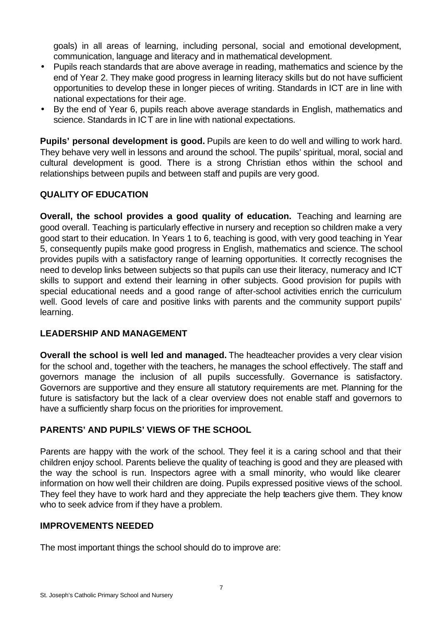goals) in all areas of learning, including personal, social and emotional development, communication, language and literacy and in mathematical development.

- Pupils reach standards that are above average in reading, mathematics and science by the end of Year 2. They make good progress in learning literacy skills but do not have sufficient opportunities to develop these in longer pieces of writing. Standards in ICT are in line with national expectations for their age.
- By the end of Year 6, pupils reach above average standards in English, mathematics and science. Standards in ICT are in line with national expectations.

**Pupils' personal development is good.** Pupils are keen to do well and willing to work hard. They behave very well in lessons and around the school. The pupils' spiritual, moral, social and cultural development is good. There is a strong Christian ethos within the school and relationships between pupils and between staff and pupils are very good.

### **QUALITY OF EDUCATION**

**Overall, the school provides a good quality of education.** Teaching and learning are good overall. Teaching is particularly effective in nursery and reception so children make a very good start to their education. In Years 1 to 6, teaching is good, with very good teaching in Year 5, consequently pupils make good progress in English, mathematics and science. The school provides pupils with a satisfactory range of learning opportunities. It correctly recognises the need to develop links between subjects so that pupils can use their literacy, numeracy and ICT skills to support and extend their learning in other subjects. Good provision for pupils with special educational needs and a good range of after-school activities enrich the curriculum well. Good levels of care and positive links with parents and the community support pupils' learning.

### **LEADERSHIP AND MANAGEMENT**

**Overall the school is well led and managed.** The headteacher provides a very clear vision for the school and, together with the teachers, he manages the school effectively. The staff and governors manage the inclusion of all pupils successfully. Governance is satisfactory. Governors are supportive and they ensure all statutory requirements are met. Planning for the future is satisfactory but the lack of a clear overview does not enable staff and governors to have a sufficiently sharp focus on the priorities for improvement.

### **PARENTS' AND PUPILS' VIEWS OF THE SCHOOL**

Parents are happy with the work of the school. They feel it is a caring school and that their children enjoy school. Parents believe the quality of teaching is good and they are pleased with the way the school is run. Inspectors agree with a small minority, who would like clearer information on how well their children are doing. Pupils expressed positive views of the school. They feel they have to work hard and they appreciate the help teachers give them. They know who to seek advice from if they have a problem.

#### **IMPROVEMENTS NEEDED**

The most important things the school should do to improve are: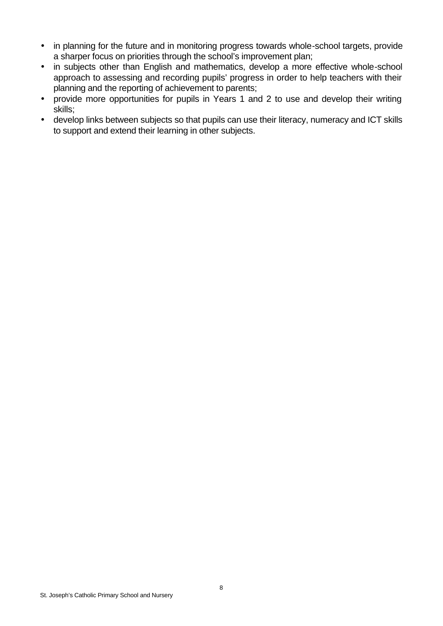- in planning for the future and in monitoring progress towards whole-school targets, provide a sharper focus on priorities through the school's improvement plan;
- in subjects other than English and mathematics, develop a more effective whole-school approach to assessing and recording pupils' progress in order to help teachers with their planning and the reporting of achievement to parents;
- provide more opportunities for pupils in Years 1 and 2 to use and develop their writing skills;
- develop links between subjects so that pupils can use their literacy, numeracy and ICT skills to support and extend their learning in other subjects.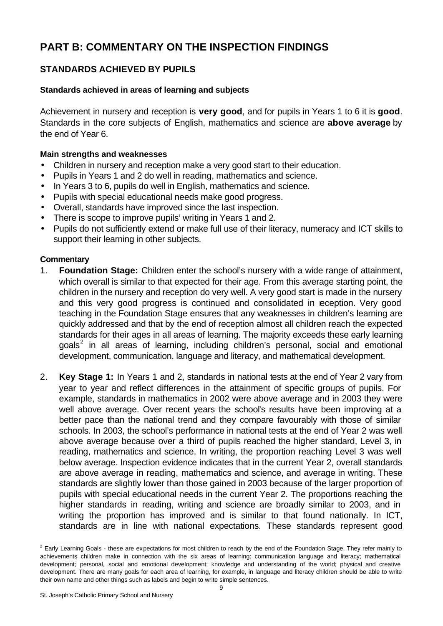# **PART B: COMMENTARY ON THE INSPECTION FINDINGS**

### **STANDARDS ACHIEVED BY PUPILS**

### **Standards achieved in areas of learning and subjects**

Achievement in nursery and reception is **very good**, and for pupils in Years 1 to 6 it is **good**. Standards in the core subjects of English, mathematics and science are **above average** by the end of Year 6.

### **Main strengths and weaknesses**

- Children in nursery and reception make a very good start to their education.
- Pupils in Years 1 and 2 do well in reading, mathematics and science.
- In Years 3 to 6, pupils do well in English, mathematics and science.
- Pupils with special educational needs make good progress.
- Overall, standards have improved since the last inspection.
- There is scope to improve pupils' writing in Years 1 and 2.
- Pupils do not sufficiently extend or make full use of their literacy, numeracy and ICT skills to support their learning in other subjects.

### **Commentary**

- 1. **Foundation Stage:** Children enter the school's nursery with a wide range of attainment, which overall is similar to that expected for their age. From this average starting point, the children in the nursery and reception do very well. A very good start is made in the nursery and this very good progress is continued and consolidated in reception. Very good teaching in the Foundation Stage ensures that any weaknesses in children's learning are quickly addressed and that by the end of reception almost all children reach the expected standards for their ages in all areas of learning. The majority exceeds these early learning goals<sup>2</sup> in all areas of learning, including children's personal, social and emotional development, communication, language and literacy, and mathematical development.
- 2. **Key Stage 1:** In Years 1 and 2, standards in national tests at the end of Year 2 vary from year to year and reflect differences in the attainment of specific groups of pupils. For example, standards in mathematics in 2002 were above average and in 2003 they were well above average. Over recent years the school's results have been improving at a better pace than the national trend and they compare favourably with those of similar schools. In 2003, the school's performance in national tests at the end of Year 2 was well above average because over a third of pupils reached the higher standard, Level 3, in reading, mathematics and science. In writing, the proportion reaching Level 3 was well below average. Inspection evidence indicates that in the current Year 2, overall standards are above average in reading, mathematics and science, and average in writing. These standards are slightly lower than those gained in 2003 because of the larger proportion of pupils with special educational needs in the current Year 2. The proportions reaching the higher standards in reading, writing and science are broadly similar to 2003, and in writing the proportion has improved and is similar to that found nationally. In ICT, standards are in line with national expectations. These standards represent good

j

 $^2$  Early Learning Goals - these are expectations for most children to reach by the end of the Foundation Stage. They refer mainly to achievements children make in connection with the six areas of learning: communication language and literacy; mathematical development; personal, social and emotional development; knowledge and understanding of the world; physical and creative development. There are many goals for each area of learning, for example, in language and literacy children should be able to write their own name and other things such as labels and begin to write simple sentences.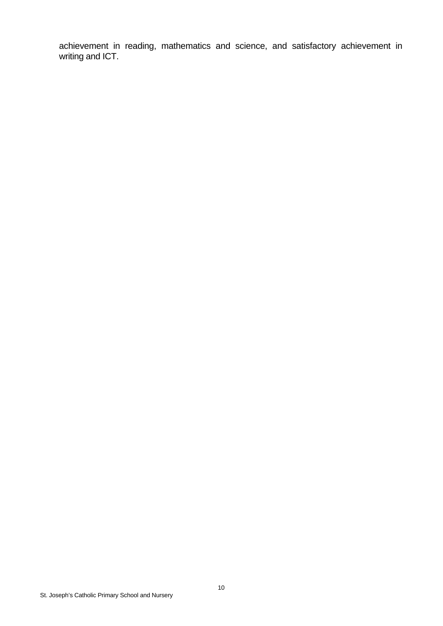achievement in reading, mathematics and science, and satisfactory achievement in writing and ICT.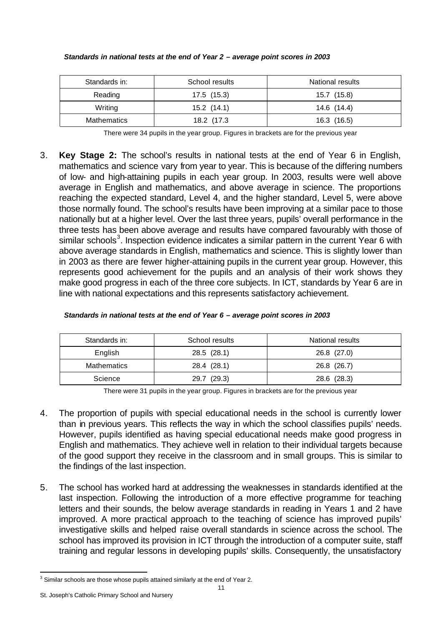| Standards in:      | School results | National results |
|--------------------|----------------|------------------|
| Reading            | 17.5(15.3)     | 15.7 (15.8)      |
| Writing            | $15.2$ (14.1)  | 14.6 (14.4)      |
| <b>Mathematics</b> | 18.2 (17.3     | 16.3 (16.5)      |

#### *Standards in national tests at the end of Year 2 – average point scores in 2003*

There were 34 pupils in the year group. Figures in brackets are for the previous year

3. **Key Stage 2:** The school's results in national tests at the end of Year 6 in English, mathematics and science vary from year to year. This is because of the differing numbers of low- and high-attaining pupils in each year group. In 2003, results were well above average in English and mathematics, and above average in science. The proportions reaching the expected standard, Level 4, and the higher standard, Level 5, were above those normally found. The school's results have been improving at a similar pace to those nationally but at a higher level. Over the last three years, pupils' overall performance in the three tests has been above average and results have compared favourably with those of similar schools<sup>3</sup>. Inspection evidence indicates a similar pattern in the current Year 6 with above average standards in English, mathematics and science. This is slightly lower than in 2003 as there are fewer higher-attaining pupils in the current year group. However, this represents good achievement for the pupils and an analysis of their work shows they make good progress in each of the three core subjects. In ICT, standards by Year 6 are in line with national expectations and this represents satisfactory achievement.

| Standards in:<br>School results |             | National results |
|---------------------------------|-------------|------------------|
| English                         | 28.5 (28.1) | 26.8 (27.0)      |
| <b>Mathematics</b>              | 28.4 (28.1) | 26.8 (26.7)      |
| Science                         | 29.7 (29.3) | 28.6 (28.3)      |

#### *Standards in national tests at the end of Year 6 – average point scores in 2003*

There were 31 pupils in the year group. Figures in brackets are for the previous year

- 4. The proportion of pupils with special educational needs in the school is currently lower than in previous years. This reflects the way in which the school classifies pupils' needs. However, pupils identified as having special educational needs make good progress in English and mathematics. They achieve well in relation to their individual targets because of the good support they receive in the classroom and in small groups. This is similar to the findings of the last inspection.
- 5. The school has worked hard at addressing the weaknesses in standards identified at the last inspection. Following the introduction of a more effective programme for teaching letters and their sounds, the below average standards in reading in Years 1 and 2 have improved. A more practical approach to the teaching of science has improved pupils' investigative skills and helped raise overall standards in science across the school. The school has improved its provision in ICT through the introduction of a computer suite, staff training and regular lessons in developing pupils' skills. Consequently, the unsatisfactory

l

 $3$  Similar schools are those whose pupils attained similarly at the end of Year 2.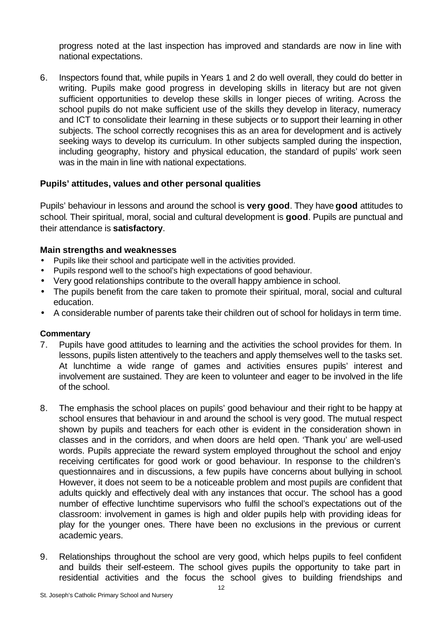progress noted at the last inspection has improved and standards are now in line with national expectations.

6. Inspectors found that, while pupils in Years 1 and 2 do well overall, they could do better in writing. Pupils make good progress in developing skills in literacy but are not given sufficient opportunities to develop these skills in longer pieces of writing. Across the school pupils do not make sufficient use of the skills they develop in literacy, numeracy and ICT to consolidate their learning in these subjects or to support their learning in other subjects. The school correctly recognises this as an area for development and is actively seeking ways to develop its curriculum. In other subjects sampled during the inspection, including geography, history and physical education, the standard of pupils' work seen was in the main in line with national expectations.

### **Pupils' attitudes, values and other personal qualities**

Pupils' behaviour in lessons and around the school is **very good**. They have **good** attitudes to school. Their spiritual, moral, social and cultural development is **good**. Pupils are punctual and their attendance is **satisfactory**.

#### **Main strengths and weaknesses**

- Pupils like their school and participate well in the activities provided.
- Pupils respond well to the school's high expectations of good behaviour.
- Very good relationships contribute to the overall happy ambience in school.
- The pupils benefit from the care taken to promote their spiritual, moral, social and cultural education.
- A considerable number of parents take their children out of school for holidays in term time.

#### **Commentary**

- 7. Pupils have good attitudes to learning and the activities the school provides for them. In lessons, pupils listen attentively to the teachers and apply themselves well to the tasks set. At lunchtime a wide range of games and activities ensures pupils' interest and involvement are sustained. They are keen to volunteer and eager to be involved in the life of the school.
- 8. The emphasis the school places on pupils' good behaviour and their right to be happy at school ensures that behaviour in and around the school is very good. The mutual respect shown by pupils and teachers for each other is evident in the consideration shown in classes and in the corridors, and when doors are held open. 'Thank you' are well-used words. Pupils appreciate the reward system employed throughout the school and enjoy receiving certificates for good work or good behaviour. In response to the children's questionnaires and in discussions, a few pupils have concerns about bullying in school. However, it does not seem to be a noticeable problem and most pupils are confident that adults quickly and effectively deal with any instances that occur. The school has a good number of effective lunchtime supervisors who fulfil the school's expectations out of the classroom: involvement in games is high and older pupils help with providing ideas for play for the younger ones. There have been no exclusions in the previous or current academic years.
- 9. Relationships throughout the school are very good, which helps pupils to feel confident and builds their self-esteem. The school gives pupils the opportunity to take part in residential activities and the focus the school gives to building friendships and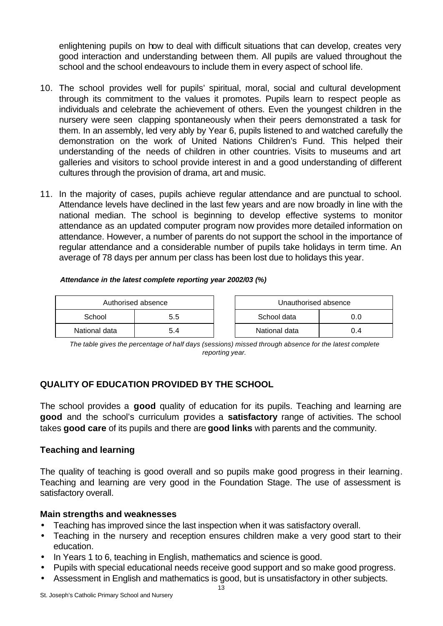enlightening pupils on how to deal with difficult situations that can develop, creates very good interaction and understanding between them. All pupils are valued throughout the school and the school endeavours to include them in every aspect of school life.

- 10. The school provides well for pupils' spiritual, moral, social and cultural development through its commitment to the values it promotes. Pupils learn to respect people as individuals and celebrate the achievement of others. Even the youngest children in the nursery were seen clapping spontaneously when their peers demonstrated a task for them. In an assembly, led very ably by Year 6, pupils listened to and watched carefully the demonstration on the work of United Nations Children's Fund. This helped their understanding of the needs of children in other countries. Visits to museums and art galleries and visitors to school provide interest in and a good understanding of different cultures through the provision of drama, art and music.
- 11. In the majority of cases, pupils achieve regular attendance and are punctual to school. Attendance levels have declined in the last few years and are now broadly in line with the national median. The school is beginning to develop effective systems to monitor attendance as an updated computer program now provides more detailed information on attendance. However, a number of parents do not support the school in the importance of regular attendance and a considerable number of pupils take holidays in term time. An average of 78 days per annum per class has been lost due to holidays this year.

#### *Attendance in the latest complete reporting year 2002/03 (%)*

| Authorised absence |     |  | Unauthorised absence |     |
|--------------------|-----|--|----------------------|-----|
| School             | 5.5 |  | School data          |     |
| National data      | 5.4 |  | National data        | 0.4 |

| Unauthorised absence |     |  |  |
|----------------------|-----|--|--|
| School data<br>ი ი   |     |  |  |
| National data        | ი 4 |  |  |

*The table gives the percentage of half days (sessions) missed through absence for the latest complete reporting year.*

### **QUALITY OF EDUCATION PROVIDED BY THE SCHOOL**

The school provides a **good** quality of education for its pupils. Teaching and learning are **good** and the school's curriculum provides a **satisfactory** range of activities. The school takes **good care** of its pupils and there are **good links** with parents and the community.

### **Teaching and learning**

The quality of teaching is good overall and so pupils make good progress in their learning. Teaching and learning are very good in the Foundation Stage. The use of assessment is satisfactory overall.

### **Main strengths and weaknesses**

- Teaching has improved since the last inspection when it was satisfactory overall.
- Teaching in the nursery and reception ensures children make a very good start to their education.
- In Years 1 to 6, teaching in English, mathematics and science is good.
- Pupils with special educational needs receive good support and so make good progress.
- Assessment in English and mathematics is good, but is unsatisfactory in other subjects.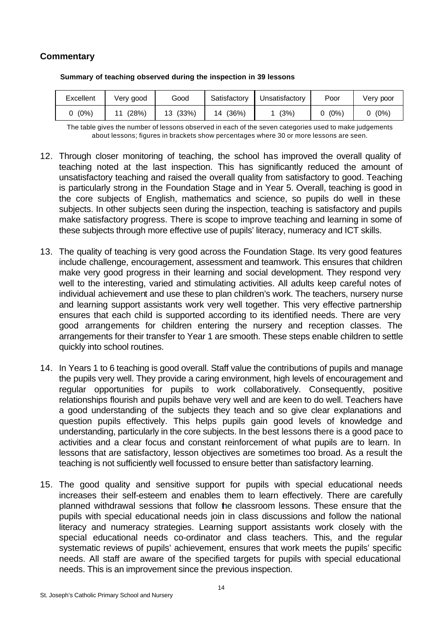### **Commentary**

| Excellent | Very good | Good        | Satisfactory | Unsatisfactory | Poor | Very poor |
|-----------|-----------|-------------|--------------|----------------|------|-----------|
| (0%)      | (28%)     | (33%)<br>13 | (36%)<br>14  | (3%)           | (0%) | (0%)      |

#### **Summary of teaching observed during the inspection in 39 lessons**

The table gives the number of lessons observed in each of the seven categories used to make judgements about lessons; figures in brackets show percentages where 30 or more lessons are seen.

- 12. Through closer monitoring of teaching, the school has improved the overall quality of teaching noted at the last inspection. This has significantly reduced the amount of unsatisfactory teaching and raised the overall quality from satisfactory to good. Teaching is particularly strong in the Foundation Stage and in Year 5. Overall, teaching is good in the core subjects of English, mathematics and science, so pupils do well in these subjects. In other subjects seen during the inspection, teaching is satisfactory and pupils make satisfactory progress. There is scope to improve teaching and learning in some of these subjects through more effective use of pupils' literacy, numeracy and ICT skills.
- 13. The quality of teaching is very good across the Foundation Stage. Its very good features include challenge, encouragement, assessment and teamwork. This ensures that children make very good progress in their learning and social development. They respond very well to the interesting, varied and stimulating activities. All adults keep careful notes of individual achievement and use these to plan children's work. The teachers, nursery nurse and learning support assistants work very well together. This very effective partnership ensures that each child is supported according to its identified needs. There are very good arrangements for children entering the nursery and reception classes. The arrangements for their transfer to Year 1 are smooth. These steps enable children to settle quickly into school routines.
- 14. In Years 1 to 6 teaching is good overall. Staff value the contributions of pupils and manage the pupils very well. They provide a caring environment, high levels of encouragement and regular opportunities for pupils to work collaboratively. Consequently, positive relationships flourish and pupils behave very well and are keen to do well. Teachers have a good understanding of the subjects they teach and so give clear explanations and question pupils effectively. This helps pupils gain good levels of knowledge and understanding, particularly in the core subjects. In the best lessons there is a good pace to activities and a clear focus and constant reinforcement of what pupils are to learn. In lessons that are satisfactory, lesson objectives are sometimes too broad. As a result the teaching is not sufficiently well focussed to ensure better than satisfactory learning.
- 15. The good quality and sensitive support for pupils with special educational needs increases their self-esteem and enables them to learn effectively. There are carefully planned withdrawal sessions that follow the classroom lessons. These ensure that the pupils with special educational needs join in class discussions and follow the national literacy and numeracy strategies. Learning support assistants work closely with the special educational needs co-ordinator and class teachers. This, and the regular systematic reviews of pupils' achievement, ensures that work meets the pupils' specific needs. All staff are aware of the specified targets for pupils with special educational needs. This is an improvement since the previous inspection.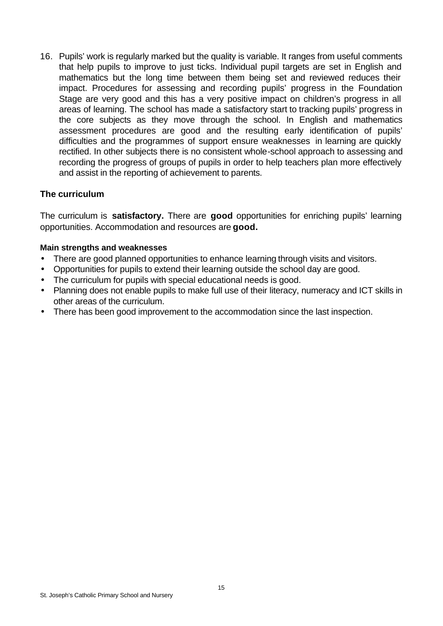16. Pupils' work is regularly marked but the quality is variable. It ranges from useful comments that help pupils to improve to just ticks. Individual pupil targets are set in English and mathematics but the long time between them being set and reviewed reduces their impact. Procedures for assessing and recording pupils' progress in the Foundation Stage are very good and this has a very positive impact on children's progress in all areas of learning. The school has made a satisfactory start to tracking pupils' progress in the core subjects as they move through the school. In English and mathematics assessment procedures are good and the resulting early identification of pupils' difficulties and the programmes of support ensure weaknesses in learning are quickly rectified. In other subjects there is no consistent whole-school approach to assessing and recording the progress of groups of pupils in order to help teachers plan more effectively and assist in the reporting of achievement to parents.

### **The curriculum**

The curriculum is **satisfactory.** There are **good** opportunities for enriching pupils' learning opportunities. Accommodation and resources are **good.**

#### **Main strengths and weaknesses**

- There are good planned opportunities to enhance learning through visits and visitors.
- Opportunities for pupils to extend their learning outside the school day are good.
- The curriculum for pupils with special educational needs is good.
- Planning does not enable pupils to make full use of their literacy, numeracy and ICT skills in other areas of the curriculum.
- There has been good improvement to the accommodation since the last inspection.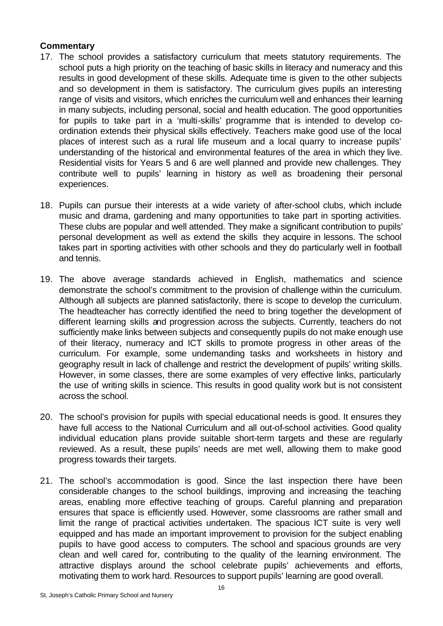### **Commentary**

- 17. The school provides a satisfactory curriculum that meets statutory requirements. The school puts a high priority on the teaching of basic skills in literacy and numeracy and this results in good development of these skills. Adequate time is given to the other subjects and so development in them is satisfactory. The curriculum gives pupils an interesting range of visits and visitors, which enriches the curriculum well and enhances their learning in many subjects, including personal, social and health education. The good opportunities for pupils to take part in a 'multi-skills' programme that is intended to develop coordination extends their physical skills effectively. Teachers make good use of the local places of interest such as a rural life museum and a local quarry to increase pupils' understanding of the historical and environmental features of the area in which they live. Residential visits for Years 5 and 6 are well planned and provide new challenges. They contribute well to pupils' learning in history as well as broadening their personal experiences.
- 18. Pupils can pursue their interests at a wide variety of after-school clubs, which include music and drama, gardening and many opportunities to take part in sporting activities. These clubs are popular and well attended. They make a significant contribution to pupils' personal development as well as extend the skills they acquire in lessons. The school takes part in sporting activities with other schools and they do particularly well in football and tennis.
- 19. The above average standards achieved in English, mathematics and science demonstrate the school's commitment to the provision of challenge within the curriculum. Although all subjects are planned satisfactorily, there is scope to develop the curriculum. The headteacher has correctly identified the need to bring together the development of different learning skills and progression across the subjects. Currently, teachers do not sufficiently make links between subjects and consequently pupils do not make enough use of their literacy, numeracy and ICT skills to promote progress in other areas of the curriculum. For example, some undemanding tasks and worksheets in history and geography result in lack of challenge and restrict the development of pupils' writing skills. However, in some classes, there are some examples of very effective links, particularly the use of writing skills in science. This results in good quality work but is not consistent across the school.
- 20. The school's provision for pupils with special educational needs is good. It ensures they have full access to the National Curriculum and all out-of-school activities. Good quality individual education plans provide suitable short-term targets and these are regularly reviewed. As a result, these pupils' needs are met well, allowing them to make good progress towards their targets.
- 21. The school's accommodation is good. Since the last inspection there have been considerable changes to the school buildings, improving and increasing the teaching areas, enabling more effective teaching of groups. Careful planning and preparation ensures that space is efficiently used. However, some classrooms are rather small and limit the range of practical activities undertaken. The spacious ICT suite is very well equipped and has made an important improvement to provision for the subject enabling pupils to have good access to computers. The school and spacious grounds are very clean and well cared for, contributing to the quality of the learning environment. The attractive displays around the school celebrate pupils' achievements and efforts, motivating them to work hard. Resources to support pupils' learning are good overall.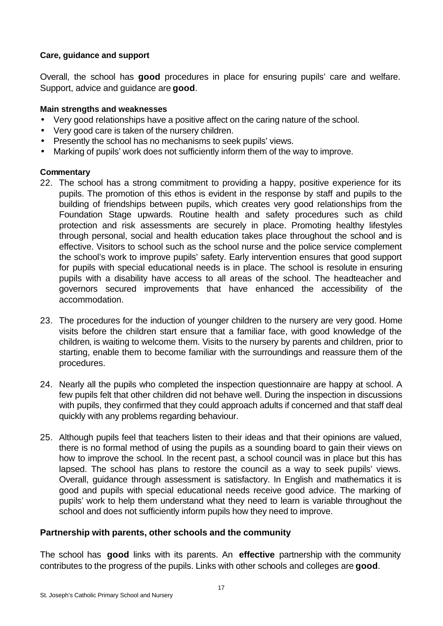### **Care, guidance and support**

Overall, the school has **good** procedures in place for ensuring pupils' care and welfare. Support, advice and guidance are **good**.

#### **Main strengths and weaknesses**

- Very good relationships have a positive affect on the caring nature of the school.
- Very good care is taken of the nursery children.
- Presently the school has no mechanisms to seek pupils' views.
- Marking of pupils' work does not sufficiently inform them of the way to improve.

#### **Commentary**

- 22. The school has a strong commitment to providing a happy, positive experience for its pupils. The promotion of this ethos is evident in the response by staff and pupils to the building of friendships between pupils, which creates very good relationships from the Foundation Stage upwards. Routine health and safety procedures such as child protection and risk assessments are securely in place. Promoting healthy lifestyles through personal, social and health education takes place throughout the school and is effective. Visitors to school such as the school nurse and the police service complement the school's work to improve pupils' safety. Early intervention ensures that good support for pupils with special educational needs is in place. The school is resolute in ensuring pupils with a disability have access to all areas of the school. The headteacher and governors secured improvements that have enhanced the accessibility of the accommodation.
- 23. The procedures for the induction of younger children to the nursery are very good. Home visits before the children start ensure that a familiar face, with good knowledge of the children, is waiting to welcome them. Visits to the nursery by parents and children, prior to starting, enable them to become familiar with the surroundings and reassure them of the procedures.
- 24. Nearly all the pupils who completed the inspection questionnaire are happy at school. A few pupils felt that other children did not behave well. During the inspection in discussions with pupils, they confirmed that they could approach adults if concerned and that staff deal quickly with any problems regarding behaviour.
- 25. Although pupils feel that teachers listen to their ideas and that their opinions are valued, there is no formal method of using the pupils as a sounding board to gain their views on how to improve the school. In the recent past, a school council was in place but this has lapsed. The school has plans to restore the council as a way to seek pupils' views. Overall, guidance through assessment is satisfactory. In English and mathematics it is good and pupils with special educational needs receive good advice. The marking of pupils' work to help them understand what they need to learn is variable throughout the school and does not sufficiently inform pupils how they need to improve.

#### **Partnership with parents, other schools and the community**

The school has **good** links with its parents. An **effective** partnership with the community contributes to the progress of the pupils. Links with other schools and colleges are **good**.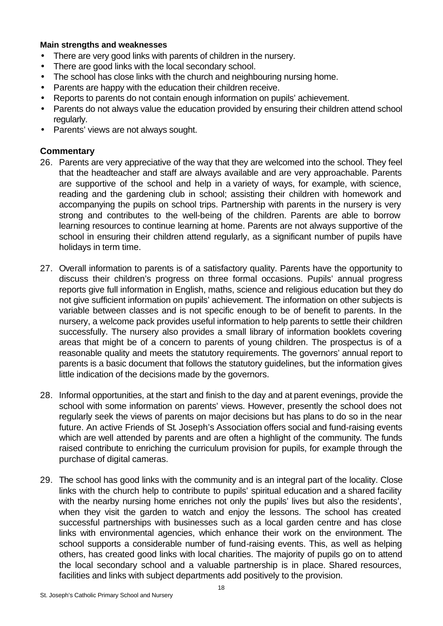#### **Main strengths and weaknesses**

- There are very good links with parents of children in the nursery.
- There are good links with the local secondary school.
- The school has close links with the church and neighbouring nursing home.
- Parents are happy with the education their children receive.
- Reports to parents do not contain enough information on pupils' achievement.
- Parents do not always value the education provided by ensuring their children attend school regularly.
- Parents' views are not always sought.

#### **Commentary**

- 26. Parents are very appreciative of the way that they are welcomed into the school. They feel that the headteacher and staff are always available and are very approachable. Parents are supportive of the school and help in a variety of ways, for example, with science, reading and the gardening club in school; assisting their children with homework and accompanying the pupils on school trips. Partnership with parents in the nursery is very strong and contributes to the well-being of the children. Parents are able to borrow learning resources to continue learning at home. Parents are not always supportive of the school in ensuring their children attend regularly, as a significant number of pupils have holidays in term time.
- 27. Overall information to parents is of a satisfactory quality. Parents have the opportunity to discuss their children's progress on three formal occasions. Pupils' annual progress reports give full information in English, maths, science and religious education but they do not give sufficient information on pupils' achievement. The information on other subjects is variable between classes and is not specific enough to be of benefit to parents. In the nursery, a welcome pack provides useful information to help parents to settle their children successfully. The nursery also provides a small library of information booklets covering areas that might be of a concern to parents of young children. The prospectus is of a reasonable quality and meets the statutory requirements. The governors' annual report to parents is a basic document that follows the statutory guidelines, but the information gives little indication of the decisions made by the governors.
- 28. Informal opportunities, at the start and finish to the day and at parent evenings, provide the school with some information on parents' views. However, presently the school does not regularly seek the views of parents on major decisions but has plans to do so in the near future. An active Friends of St. Joseph's Association offers social and fund-raising events which are well attended by parents and are often a highlight of the community. The funds raised contribute to enriching the curriculum provision for pupils, for example through the purchase of digital cameras.
- 29. The school has good links with the community and is an integral part of the locality. Close links with the church help to contribute to pupils' spiritual education and a shared facility with the nearby nursing home enriches not only the pupils' lives but also the residents', when they visit the garden to watch and enjoy the lessons. The school has created successful partnerships with businesses such as a local garden centre and has close links with environmental agencies, which enhance their work on the environment. The school supports a considerable number of fund-raising events. This, as well as helping others, has created good links with local charities. The majority of pupils go on to attend the local secondary school and a valuable partnership is in place. Shared resources, facilities and links with subject departments add positively to the provision.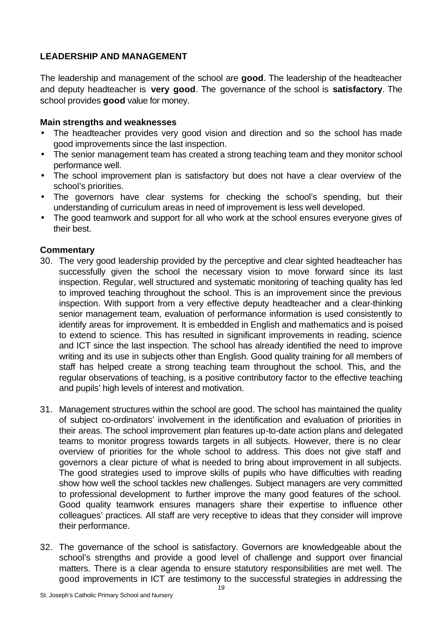### **LEADERSHIP AND MANAGEMENT**

The leadership and management of the school are **good**. The leadership of the headteacher and deputy headteacher is **very good**. The governance of the school is **satisfactory**. The school provides **good** value for money.

### **Main strengths and weaknesses**

- The headteacher provides very good vision and direction and so the school has made good improvements since the last inspection.
- The senior management team has created a strong teaching team and they monitor school performance well.
- The school improvement plan is satisfactory but does not have a clear overview of the school's priorities.
- The governors have clear systems for checking the school's spending, but their understanding of curriculum areas in need of improvement is less well developed.
- The good teamwork and support for all who work at the school ensures everyone gives of their best.

### **Commentary**

- 30. The very good leadership provided by the perceptive and clear sighted headteacher has successfully given the school the necessary vision to move forward since its last inspection. Regular, well structured and systematic monitoring of teaching quality has led to improved teaching throughout the school. This is an improvement since the previous inspection. With support from a very effective deputy headteacher and a clear-thinking senior management team, evaluation of performance information is used consistently to identify areas for improvement. It is embedded in English and mathematics and is poised to extend to science. This has resulted in significant improvements in reading, science and ICT since the last inspection. The school has already identified the need to improve writing and its use in subjects other than English. Good quality training for all members of staff has helped create a strong teaching team throughout the school. This, and the regular observations of teaching, is a positive contributory factor to the effective teaching and pupils' high levels of interest and motivation.
- 31. Management structures within the school are good. The school has maintained the quality of subject co-ordinators' involvement in the identification and evaluation of priorities in their areas. The school improvement plan features up-to-date action plans and delegated teams to monitor progress towards targets in all subjects. However, there is no clear overview of priorities for the whole school to address. This does not give staff and governors a clear picture of what is needed to bring about improvement in all subjects. The good strategies used to improve skills of pupils who have difficulties with reading show how well the school tackles new challenges. Subject managers are very committed to professional development to further improve the many good features of the school. Good quality teamwork ensures managers share their expertise to influence other colleagues' practices. All staff are very receptive to ideas that they consider will improve their performance.
- 32. The governance of the school is satisfactory. Governors are knowledgeable about the school's strengths and provide a good level of challenge and support over financial matters. There is a clear agenda to ensure statutory responsibilities are met well. The good improvements in ICT are testimony to the successful strategies in addressing the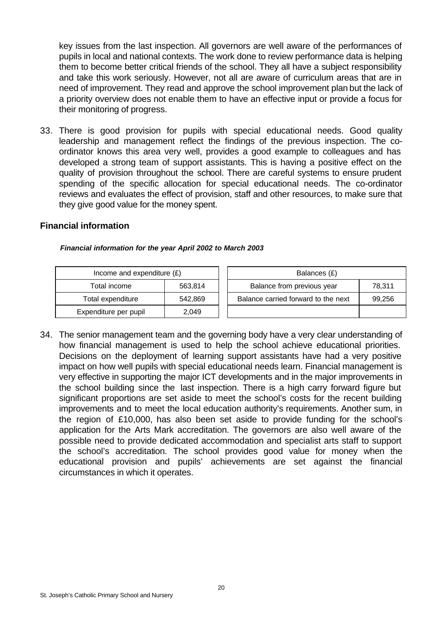key issues from the last inspection. All governors are well aware of the performances of pupils in local and national contexts. The work done to review performance data is helping them to become better critical friends of the school. They all have a subject responsibility and take this work seriously. However, not all are aware of curriculum areas that are in need of improvement. They read and approve the school improvement plan but the lack of a priority overview does not enable them to have an effective input or provide a focus for their monitoring of progress.

33. There is good provision for pupils with special educational needs. Good quality leadership and management reflect the findings of the previous inspection. The coordinator knows this area very well, provides a good example to colleagues and has developed a strong team of support assistants. This is having a positive effect on the quality of provision throughout the school. There are careful systems to ensure prudent spending of the specific allocation for special educational needs. The co-ordinator reviews and evaluates the effect of provision, staff and other resources, to make sure that they give good value for the money spent.

#### **Financial information**

| Income and expenditure $(E)$ |         | Balances (£)                        |        |
|------------------------------|---------|-------------------------------------|--------|
| Total income                 | 563,814 | Balance from previous year          | 78,311 |
| Total expenditure            | 542,869 | Balance carried forward to the next | 99,256 |
| Expenditure per pupil        | 2,049   |                                     |        |

*Financial information for the year April 2002 to March 2003*

34. The senior management team and the governing body have a very clear understanding of how financial management is used to help the school achieve educational priorities. Decisions on the deployment of learning support assistants have had a very positive impact on how well pupils with special educational needs learn. Financial management is very effective in supporting the major ICT developments and in the major improvements in the school building since the last inspection. There is a high carry forward figure but significant proportions are set aside to meet the school's costs for the recent building improvements and to meet the local education authority's requirements. Another sum, in the region of £10,000, has also been set aside to provide funding for the school's application for the Arts Mark accreditation. The governors are also well aware of the possible need to provide dedicated accommodation and specialist arts staff to support the school's accreditation. The school provides good value for money when the educational provision and pupils' achievements are set against the financial circumstances in which it operates.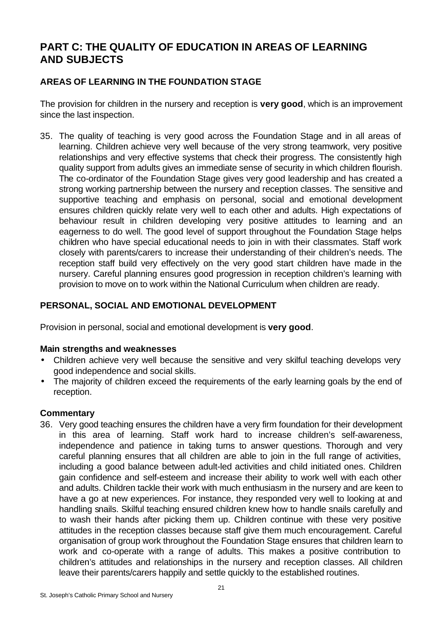# **PART C: THE QUALITY OF EDUCATION IN AREAS OF LEARNING AND SUBJECTS**

### **AREAS OF LEARNING IN THE FOUNDATION STAGE**

The provision for children in the nursery and reception is **very good**, which is an improvement since the last inspection.

35. The quality of teaching is very good across the Foundation Stage and in all areas of learning. Children achieve very well because of the very strong teamwork, very positive relationships and very effective systems that check their progress. The consistently high quality support from adults gives an immediate sense of security in which children flourish. The co-ordinator of the Foundation Stage gives very good leadership and has created a strong working partnership between the nursery and reception classes. The sensitive and supportive teaching and emphasis on personal, social and emotional development ensures children quickly relate very well to each other and adults. High expectations of behaviour result in children developing very positive attitudes to learning and an eagerness to do well. The good level of support throughout the Foundation Stage helps children who have special educational needs to join in with their classmates. Staff work closely with parents/carers to increase their understanding of their children's needs. The reception staff build very effectively on the very good start children have made in the nursery. Careful planning ensures good progression in reception children's learning with provision to move on to work within the National Curriculum when children are ready.

### **PERSONAL, SOCIAL AND EMOTIONAL DEVELOPMENT**

Provision in personal, social and emotional development is **very good**.

#### **Main strengths and weaknesses**

- Children achieve very well because the sensitive and very skilful teaching develops very good independence and social skills.
- The majority of children exceed the requirements of the early learning goals by the end of reception.

### **Commentary**

36. Very good teaching ensures the children have a very firm foundation for their development in this area of learning. Staff work hard to increase children's self-awareness, independence and patience in taking turns to answer questions. Thorough and very careful planning ensures that all children are able to join in the full range of activities, including a good balance between adult-led activities and child initiated ones. Children gain confidence and self-esteem and increase their ability to work well with each other and adults. Children tackle their work with much enthusiasm in the nursery and are keen to have a go at new experiences. For instance, they responded very well to looking at and handling snails. Skilful teaching ensured children knew how to handle snails carefully and to wash their hands after picking them up. Children continue with these very positive attitudes in the reception classes because staff give them much encouragement. Careful organisation of group work throughout the Foundation Stage ensures that children learn to work and co-operate with a range of adults. This makes a positive contribution to children's attitudes and relationships in the nursery and reception classes. All children leave their parents/carers happily and settle quickly to the established routines.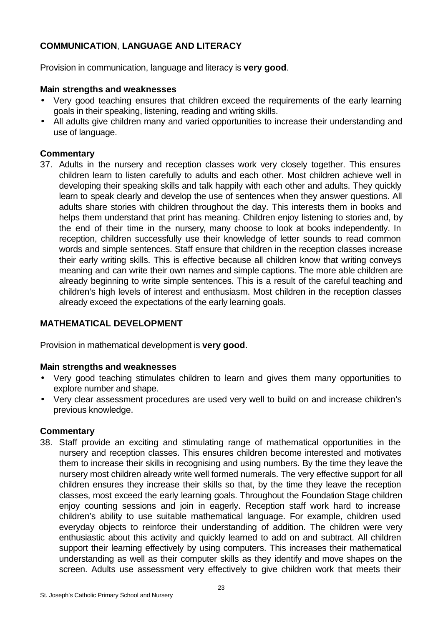### **COMMUNICATION**, **LANGUAGE AND LITERACY**

Provision in communication, language and literacy is **very good**.

### **Main strengths and weaknesses**

- Very good teaching ensures that children exceed the requirements of the early learning goals in their speaking, listening, reading and writing skills.
- All adults give children many and varied opportunities to increase their understanding and use of language.

### **Commentary**

37. Adults in the nursery and reception classes work very closely together. This ensures children learn to listen carefully to adults and each other. Most children achieve well in developing their speaking skills and talk happily with each other and adults. They quickly learn to speak clearly and develop the use of sentences when they answer questions. All adults share stories with children throughout the day. This interests them in books and helps them understand that print has meaning. Children enjoy listening to stories and, by the end of their time in the nursery, many choose to look at books independently. In reception, children successfully use their knowledge of letter sounds to read common words and simple sentences. Staff ensure that children in the reception classes increase their early writing skills. This is effective because all children know that writing conveys meaning and can write their own names and simple captions. The more able children are already beginning to write simple sentences. This is a result of the careful teaching and children's high levels of interest and enthusiasm. Most children in the reception classes already exceed the expectations of the early learning goals.

### **MATHEMATICAL DEVELOPMENT**

Provision in mathematical development is **very good**.

#### **Main strengths and weaknesses**

- Very good teaching stimulates children to learn and gives them many opportunities to explore number and shape.
- Very clear assessment procedures are used very well to build on and increase children's previous knowledge.

#### **Commentary**

38. Staff provide an exciting and stimulating range of mathematical opportunities in the nursery and reception classes. This ensures children become interested and motivates them to increase their skills in recognising and using numbers. By the time they leave the nursery most children already write well formed numerals. The very effective support for all children ensures they increase their skills so that, by the time they leave the reception classes, most exceed the early learning goals. Throughout the Foundation Stage children enjoy counting sessions and join in eagerly. Reception staff work hard to increase children's ability to use suitable mathematical language. For example, children used everyday objects to reinforce their understanding of addition. The children were very enthusiastic about this activity and quickly learned to add on and subtract. All children support their learning effectively by using computers. This increases their mathematical understanding as well as their computer skills as they identify and move shapes on the screen. Adults use assessment very effectively to give children work that meets their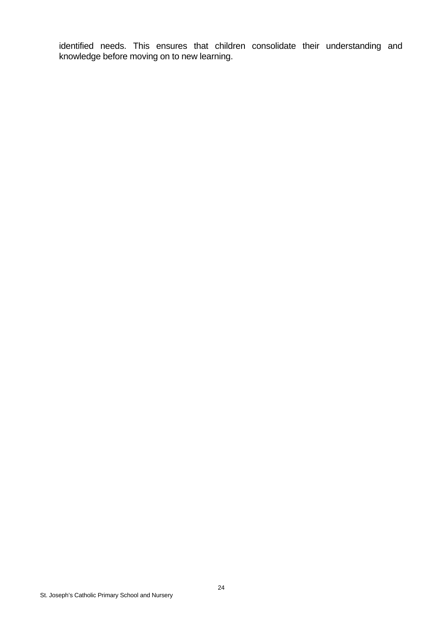identified needs. This ensures that children consolidate their understanding and knowledge before moving on to new learning.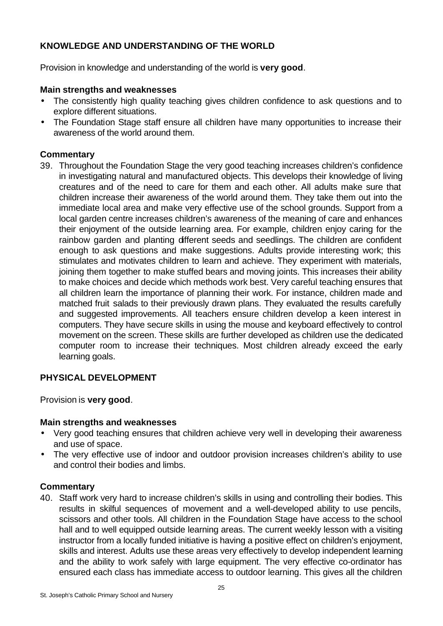### **KNOWLEDGE AND UNDERSTANDING OF THE WORLD**

Provision in knowledge and understanding of the world is **very good**.

### **Main strengths and weaknesses**

- The consistently high quality teaching gives children confidence to ask questions and to explore different situations.
- The Foundation Stage staff ensure all children have many opportunities to increase their awareness of the world around them.

### **Commentary**

39. Throughout the Foundation Stage the very good teaching increases children's confidence in investigating natural and manufactured objects. This develops their knowledge of living creatures and of the need to care for them and each other. All adults make sure that children increase their awareness of the world around them. They take them out into the immediate local area and make very effective use of the school grounds. Support from a local garden centre increases children's awareness of the meaning of care and enhances their enjoyment of the outside learning area. For example, children enjoy caring for the rainbow garden and planting different seeds and seedlings. The children are confident enough to ask questions and make suggestions. Adults provide interesting work; this stimulates and motivates children to learn and achieve. They experiment with materials, joining them together to make stuffed bears and moving joints. This increases their ability to make choices and decide which methods work best. Very careful teaching ensures that all children learn the importance of planning their work. For instance, children made and matched fruit salads to their previously drawn plans. They evaluated the results carefully and suggested improvements. All teachers ensure children develop a keen interest in computers. They have secure skills in using the mouse and keyboard effectively to control movement on the screen. These skills are further developed as children use the dedicated computer room to increase their techniques. Most children already exceed the early learning goals.

### **PHYSICAL DEVELOPMENT**

Provision is **very good**.

#### **Main strengths and weaknesses**

- Very good teaching ensures that children achieve very well in developing their awareness and use of space.
- The very effective use of indoor and outdoor provision increases children's ability to use and control their bodies and limbs.

#### **Commentary**

40. Staff work very hard to increase children's skills in using and controlling their bodies. This results in skilful sequences of movement and a well-developed ability to use pencils, scissors and other tools. All children in the Foundation Stage have access to the school hall and to well equipped outside learning areas. The current weekly lesson with a visiting instructor from a locally funded initiative is having a positive effect on children's enjoyment, skills and interest. Adults use these areas very effectively to develop independent learning and the ability to work safely with large equipment. The very effective co-ordinator has ensured each class has immediate access to outdoor learning. This gives all the children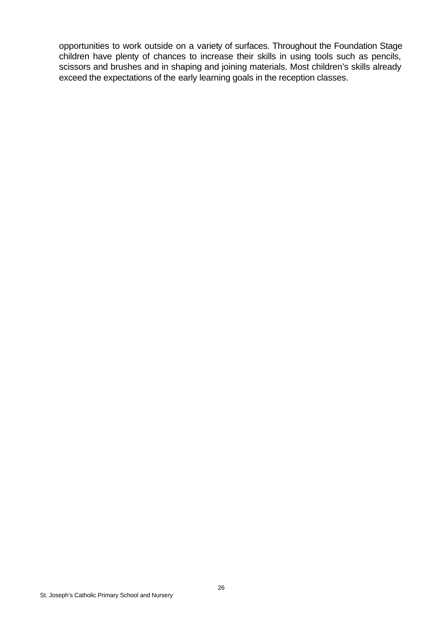opportunities to work outside on a variety of surfaces. Throughout the Foundation Stage children have plenty of chances to increase their skills in using tools such as pencils, scissors and brushes and in shaping and joining materials. Most children's skills already exceed the expectations of the early learning goals in the reception classes.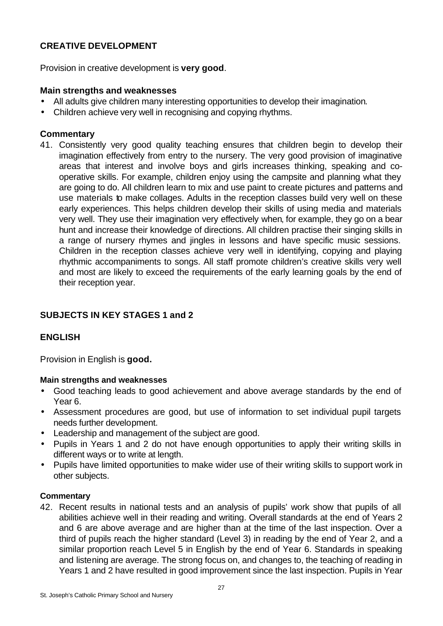### **CREATIVE DEVELOPMENT**

Provision in creative development is **very good**.

### **Main strengths and weaknesses**

- All adults give children many interesting opportunities to develop their imagination.
- Children achieve very well in recognising and copying rhythms.

### **Commentary**

41. Consistently very good quality teaching ensures that children begin to develop their imagination effectively from entry to the nursery. The very good provision of imaginative areas that interest and involve boys and girls increases thinking, speaking and cooperative skills. For example, children enjoy using the campsite and planning what they are going to do. All children learn to mix and use paint to create pictures and patterns and use materials to make collages. Adults in the reception classes build very well on these early experiences. This helps children develop their skills of using media and materials very well. They use their imagination very effectively when, for example, they go on a bear hunt and increase their knowledge of directions. All children practise their singing skills in a range of nursery rhymes and jingles in lessons and have specific music sessions. Children in the reception classes achieve very well in identifying, copying and playing rhythmic accompaniments to songs. All staff promote children's creative skills very well and most are likely to exceed the requirements of the early learning goals by the end of their reception year.

### **SUBJECTS IN KEY STAGES 1 and 2**

### **ENGLISH**

Provision in English is **good.**

#### **Main strengths and weaknesses**

- Good teaching leads to good achievement and above average standards by the end of Year 6.
- Assessment procedures are good, but use of information to set individual pupil targets needs further development.
- Leadership and management of the subject are good.
- Pupils in Years 1 and 2 do not have enough opportunities to apply their writing skills in different ways or to write at length.
- Pupils have limited opportunities to make wider use of their writing skills to support work in other subjects.

#### **Commentary**

42. Recent results in national tests and an analysis of pupils' work show that pupils of all abilities achieve well in their reading and writing. Overall standards at the end of Years 2 and 6 are above average and are higher than at the time of the last inspection. Over a third of pupils reach the higher standard (Level 3) in reading by the end of Year 2, and a similar proportion reach Level 5 in English by the end of Year 6. Standards in speaking and listening are average. The strong focus on, and changes to, the teaching of reading in Years 1 and 2 have resulted in good improvement since the last inspection. Pupils in Year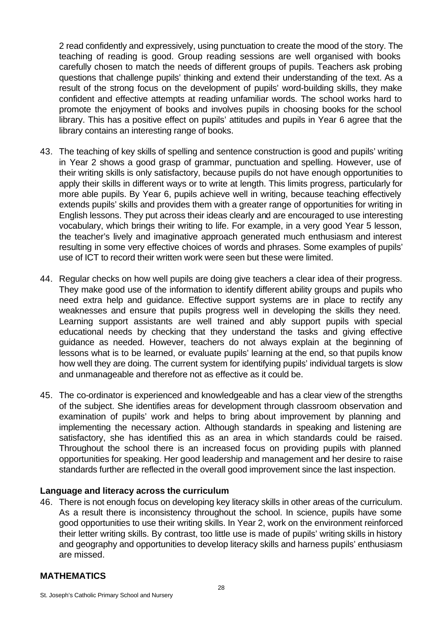2 read confidently and expressively, using punctuation to create the mood of the story. The teaching of reading is good. Group reading sessions are well organised with books carefully chosen to match the needs of different groups of pupils. Teachers ask probing questions that challenge pupils' thinking and extend their understanding of the text. As a result of the strong focus on the development of pupils' word-building skills, they make confident and effective attempts at reading unfamiliar words. The school works hard to promote the enjoyment of books and involves pupils in choosing books for the school library. This has a positive effect on pupils' attitudes and pupils in Year 6 agree that the library contains an interesting range of books.

- 43. The teaching of key skills of spelling and sentence construction is good and pupils' writing in Year 2 shows a good grasp of grammar, punctuation and spelling. However, use of their writing skills is only satisfactory, because pupils do not have enough opportunities to apply their skills in different ways or to write at length. This limits progress, particularly for more able pupils. By Year 6, pupils achieve well in writing, because teaching effectively extends pupils' skills and provides them with a greater range of opportunities for writing in English lessons. They put across their ideas clearly and are encouraged to use interesting vocabulary, which brings their writing to life. For example, in a very good Year 5 lesson, the teacher's lively and imaginative approach generated much enthusiasm and interest resulting in some very effective choices of words and phrases. Some examples of pupils' use of ICT to record their written work were seen but these were limited.
- 44. Regular checks on how well pupils are doing give teachers a clear idea of their progress. They make good use of the information to identify different ability groups and pupils who need extra help and guidance. Effective support systems are in place to rectify any weaknesses and ensure that pupils progress well in developing the skills they need. Learning support assistants are well trained and ably support pupils with special educational needs by checking that they understand the tasks and giving effective guidance as needed. However, teachers do not always explain at the beginning of lessons what is to be learned, or evaluate pupils' learning at the end, so that pupils know how well they are doing. The current system for identifying pupils' individual targets is slow and unmanageable and therefore not as effective as it could be.
- 45. The co-ordinator is experienced and knowledgeable and has a clear view of the strengths of the subject. She identifies areas for development through classroom observation and examination of pupils' work and helps to bring about improvement by planning and implementing the necessary action. Although standards in speaking and listening are satisfactory, she has identified this as an area in which standards could be raised. Throughout the school there is an increased focus on providing pupils with planned opportunities for speaking. Her good leadership and management and her desire to raise standards further are reflected in the overall good improvement since the last inspection.

#### **Language and literacy across the curriculum**

46. There is not enough focus on developing key literacy skills in other areas of the curriculum. As a result there is inconsistency throughout the school. In science, pupils have some good opportunities to use their writing skills. In Year 2, work on the environment reinforced their letter writing skills. By contrast, too little use is made of pupils' writing skills in history and geography and opportunities to develop literacy skills and harness pupils' enthusiasm are missed.

#### **MATHEMATICS**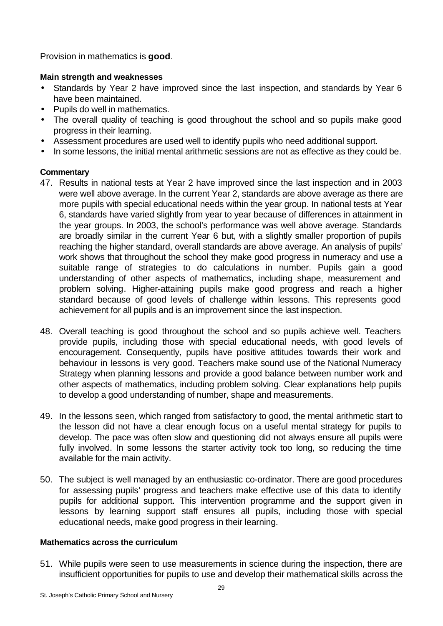Provision in mathematics is **good**.

### **Main strength and weaknesses**

- Standards by Year 2 have improved since the last inspection, and standards by Year 6 have been maintained.
- Pupils do well in mathematics.
- The overall quality of teaching is good throughout the school and so pupils make good progress in their learning.
- Assessment procedures are used well to identify pupils who need additional support.
- In some lessons, the initial mental arithmetic sessions are not as effective as they could be.

### **Commentary**

- 47. Results in national tests at Year 2 have improved since the last inspection and in 2003 were well above average. In the current Year 2, standards are above average as there are more pupils with special educational needs within the year group. In national tests at Year 6, standards have varied slightly from year to year because of differences in attainment in the year groups. In 2003, the school's performance was well above average. Standards are broadly similar in the current Year 6 but, with a slightly smaller proportion of pupils reaching the higher standard, overall standards are above average. An analysis of pupils' work shows that throughout the school they make good progress in numeracy and use a suitable range of strategies to do calculations in number. Pupils gain a good understanding of other aspects of mathematics, including shape, measurement and problem solving. Higher-attaining pupils make good progress and reach a higher standard because of good levels of challenge within lessons. This represents good achievement for all pupils and is an improvement since the last inspection.
- 48. Overall teaching is good throughout the school and so pupils achieve well. Teachers provide pupils, including those with special educational needs, with good levels of encouragement. Consequently, pupils have positive attitudes towards their work and behaviour in lessons is very good. Teachers make sound use of the National Numeracy Strategy when planning lessons and provide a good balance between number work and other aspects of mathematics, including problem solving. Clear explanations help pupils to develop a good understanding of number, shape and measurements.
- 49. In the lessons seen, which ranged from satisfactory to good, the mental arithmetic start to the lesson did not have a clear enough focus on a useful mental strategy for pupils to develop. The pace was often slow and questioning did not always ensure all pupils were fully involved. In some lessons the starter activity took too long, so reducing the time available for the main activity.
- 50. The subject is well managed by an enthusiastic co-ordinator. There are good procedures for assessing pupils' progress and teachers make effective use of this data to identify pupils for additional support. This intervention programme and the support given in lessons by learning support staff ensures all pupils, including those with special educational needs, make good progress in their learning.

### **Mathematics across the curriculum**

51. While pupils were seen to use measurements in science during the inspection, there are insufficient opportunities for pupils to use and develop their mathematical skills across the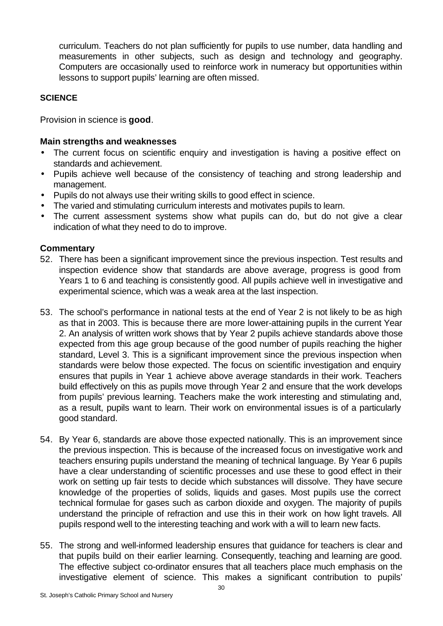curriculum. Teachers do not plan sufficiently for pupils to use number, data handling and measurements in other subjects, such as design and technology and geography. Computers are occasionally used to reinforce work in numeracy but opportunities within lessons to support pupils' learning are often missed.

### **SCIENCE**

Provision in science is **good**.

### **Main strengths and weaknesses**

- The current focus on scientific enquiry and investigation is having a positive effect on standards and achievement.
- Pupils achieve well because of the consistency of teaching and strong leadership and management.
- Pupils do not always use their writing skills to good effect in science.
- The varied and stimulating curriculum interests and motivates pupils to learn.
- The current assessment systems show what pupils can do, but do not give a clear indication of what they need to do to improve.

#### **Commentary**

- 52. There has been a significant improvement since the previous inspection. Test results and inspection evidence show that standards are above average, progress is good from Years 1 to 6 and teaching is consistently good. All pupils achieve well in investigative and experimental science, which was a weak area at the last inspection.
- 53. The school's performance in national tests at the end of Year 2 is not likely to be as high as that in 2003. This is because there are more lower-attaining pupils in the current Year 2. An analysis of written work shows that by Year 2 pupils achieve standards above those expected from this age group because of the good number of pupils reaching the higher standard, Level 3. This is a significant improvement since the previous inspection when standards were below those expected. The focus on scientific investigation and enquiry ensures that pupils in Year 1 achieve above average standards in their work. Teachers build effectively on this as pupils move through Year 2 and ensure that the work develops from pupils' previous learning. Teachers make the work interesting and stimulating and, as a result, pupils want to learn. Their work on environmental issues is of a particularly good standard.
- 54. By Year 6, standards are above those expected nationally. This is an improvement since the previous inspection. This is because of the increased focus on investigative work and teachers ensuring pupils understand the meaning of technical language. By Year 6 pupils have a clear understanding of scientific processes and use these to good effect in their work on setting up fair tests to decide which substances will dissolve. They have secure knowledge of the properties of solids, liquids and gases. Most pupils use the correct technical formulae for gases such as carbon dioxide and oxygen. The majority of pupils understand the principle of refraction and use this in their work on how light travels. All pupils respond well to the interesting teaching and work with a will to learn new facts.
- 55. The strong and well-informed leadership ensures that guidance for teachers is clear and that pupils build on their earlier learning. Consequently, teaching and learning are good. The effective subject co-ordinator ensures that all teachers place much emphasis on the investigative element of science. This makes a significant contribution to pupils'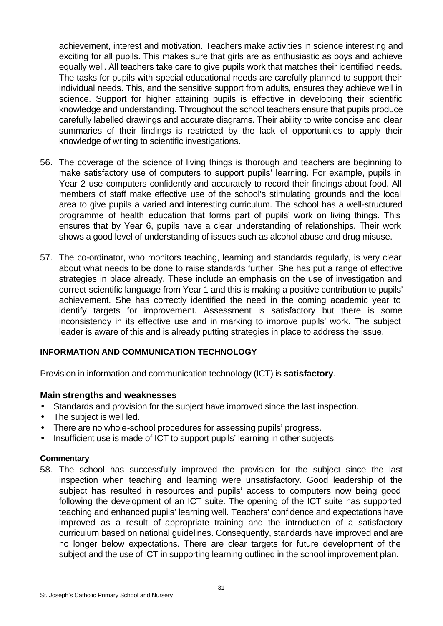achievement, interest and motivation. Teachers make activities in science interesting and exciting for all pupils. This makes sure that girls are as enthusiastic as boys and achieve equally well. All teachers take care to give pupils work that matches their identified needs. The tasks for pupils with special educational needs are carefully planned to support their individual needs. This, and the sensitive support from adults, ensures they achieve well in science. Support for higher attaining pupils is effective in developing their scientific knowledge and understanding. Throughout the school teachers ensure that pupils produce carefully labelled drawings and accurate diagrams. Their ability to write concise and clear summaries of their findings is restricted by the lack of opportunities to apply their knowledge of writing to scientific investigations.

- 56. The coverage of the science of living things is thorough and teachers are beginning to make satisfactory use of computers to support pupils' learning. For example, pupils in Year 2 use computers confidently and accurately to record their findings about food. All members of staff make effective use of the school's stimulating grounds and the local area to give pupils a varied and interesting curriculum. The school has a well-structured programme of health education that forms part of pupils' work on living things. This ensures that by Year 6, pupils have a clear understanding of relationships. Their work shows a good level of understanding of issues such as alcohol abuse and drug misuse.
- 57. The co-ordinator, who monitors teaching, learning and standards regularly, is very clear about what needs to be done to raise standards further. She has put a range of effective strategies in place already. These include an emphasis on the use of investigation and correct scientific language from Year 1 and this is making a positive contribution to pupils' achievement. She has correctly identified the need in the coming academic year to identify targets for improvement. Assessment is satisfactory but there is some inconsistency in its effective use and in marking to improve pupils' work. The subject leader is aware of this and is already putting strategies in place to address the issue.

#### **INFORMATION AND COMMUNICATION TECHNOLOGY**

Provision in information and communication technology (ICT) is **satisfactory**.

#### **Main strengths and weaknesses**

- Standards and provision for the subject have improved since the last inspection.
- The subject is well led.
- There are no whole-school procedures for assessing pupils' progress.
- Insufficient use is made of ICT to support pupils' learning in other subjects.

#### **Commentary**

58. The school has successfully improved the provision for the subject since the last inspection when teaching and learning were unsatisfactory. Good leadership of the subject has resulted in resources and pupils' access to computers now being good following the development of an ICT suite. The opening of the ICT suite has supported teaching and enhanced pupils' learning well. Teachers' confidence and expectations have improved as a result of appropriate training and the introduction of a satisfactory curriculum based on national guidelines. Consequently, standards have improved and are no longer below expectations. There are clear targets for future development of the subject and the use of ICT in supporting learning outlined in the school improvement plan.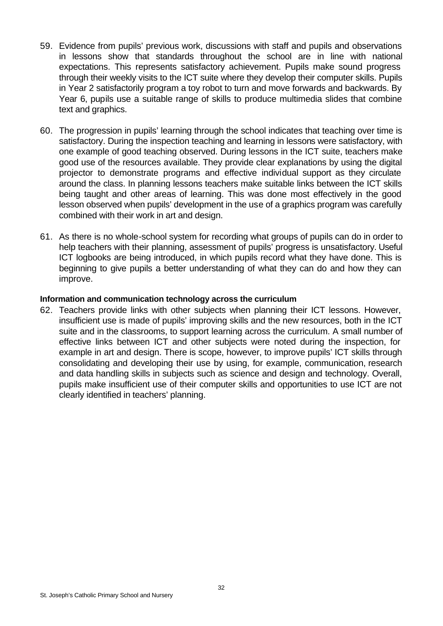- 59. Evidence from pupils' previous work, discussions with staff and pupils and observations in lessons show that standards throughout the school are in line with national expectations. This represents satisfactory achievement. Pupils make sound progress through their weekly visits to the ICT suite where they develop their computer skills. Pupils in Year 2 satisfactorily program a toy robot to turn and move forwards and backwards. By Year 6, pupils use a suitable range of skills to produce multimedia slides that combine text and graphics.
- 60. The progression in pupils' learning through the school indicates that teaching over time is satisfactory. During the inspection teaching and learning in lessons were satisfactory, with one example of good teaching observed. During lessons in the ICT suite, teachers make good use of the resources available. They provide clear explanations by using the digital projector to demonstrate programs and effective individual support as they circulate around the class. In planning lessons teachers make suitable links between the ICT skills being taught and other areas of learning. This was done most effectively in the good lesson observed when pupils' development in the use of a graphics program was carefully combined with their work in art and design.
- 61. As there is no whole-school system for recording what groups of pupils can do in order to help teachers with their planning, assessment of pupils' progress is unsatisfactory. Useful ICT logbooks are being introduced, in which pupils record what they have done. This is beginning to give pupils a better understanding of what they can do and how they can improve.

#### **Information and communication technology across the curriculum**

62. Teachers provide links with other subjects when planning their ICT lessons. However, insufficient use is made of pupils' improving skills and the new resources, both in the ICT suite and in the classrooms, to support learning across the curriculum. A small number of effective links between ICT and other subjects were noted during the inspection, for example in art and design. There is scope, however, to improve pupils' ICT skills through consolidating and developing their use by using, for example, communication, research and data handling skills in subjects such as science and design and technology. Overall, pupils make insufficient use of their computer skills and opportunities to use ICT are not clearly identified in teachers' planning.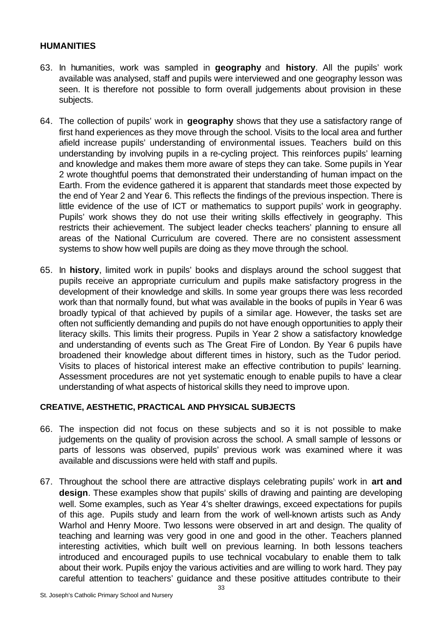#### **HUMANITIES**

- 63. In humanities, work was sampled in **geography** and **history**. All the pupils' work available was analysed, staff and pupils were interviewed and one geography lesson was seen. It is therefore not possible to form overall judgements about provision in these subjects.
- 64. The collection of pupils' work in **geography** shows that they use a satisfactory range of first hand experiences as they move through the school. Visits to the local area and further afield increase pupils' understanding of environmental issues. Teachers build on this understanding by involving pupils in a re-cycling project. This reinforces pupils' learning and knowledge and makes them more aware of steps they can take. Some pupils in Year 2 wrote thoughtful poems that demonstrated their understanding of human impact on the Earth. From the evidence gathered it is apparent that standards meet those expected by the end of Year 2 and Year 6. This reflects the findings of the previous inspection. There is little evidence of the use of ICT or mathematics to support pupils' work in geography. Pupils' work shows they do not use their writing skills effectively in geography. This restricts their achievement. The subject leader checks teachers' planning to ensure all areas of the National Curriculum are covered. There are no consistent assessment systems to show how well pupils are doing as they move through the school.
- 65. In **history**, limited work in pupils' books and displays around the school suggest that pupils receive an appropriate curriculum and pupils make satisfactory progress in the development of their knowledge and skills. In some year groups there was less recorded work than that normally found, but what was available in the books of pupils in Year 6 was broadly typical of that achieved by pupils of a similar age. However, the tasks set are often not sufficiently demanding and pupils do not have enough opportunities to apply their literacy skills. This limits their progress. Pupils in Year 2 show a satisfactory knowledge and understanding of events such as The Great Fire of London. By Year 6 pupils have broadened their knowledge about different times in history, such as the Tudor period. Visits to places of historical interest make an effective contribution to pupils' learning. Assessment procedures are not yet systematic enough to enable pupils to have a clear understanding of what aspects of historical skills they need to improve upon.

#### **CREATIVE, AESTHETIC, PRACTICAL AND PHYSICAL SUBJECTS**

- 66. The inspection did not focus on these subjects and so it is not possible to make judgements on the quality of provision across the school. A small sample of lessons or parts of lessons was observed, pupils' previous work was examined where it was available and discussions were held with staff and pupils.
- 67. Throughout the school there are attractive displays celebrating pupils' work in **art and design**. These examples show that pupils' skills of drawing and painting are developing well. Some examples, such as Year 4's shelter drawings, exceed expectations for pupils of this age. Pupils study and learn from the work of well-known artists such as Andy Warhol and Henry Moore. Two lessons were observed in art and design. The quality of teaching and learning was very good in one and good in the other. Teachers planned interesting activities, which built well on previous learning. In both lessons teachers introduced and encouraged pupils to use technical vocabulary to enable them to talk about their work. Pupils enjoy the various activities and are willing to work hard. They pay careful attention to teachers' guidance and these positive attitudes contribute to their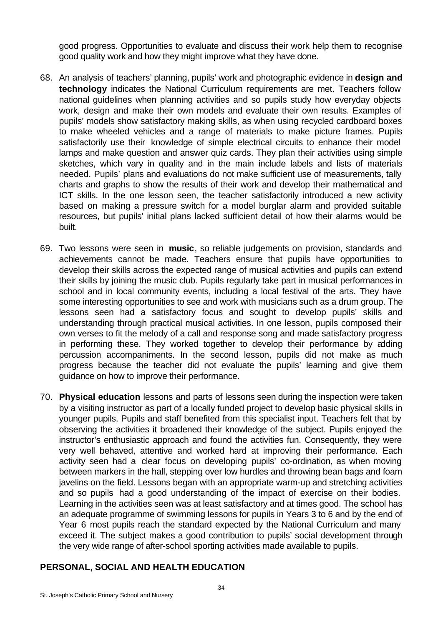good progress. Opportunities to evaluate and discuss their work help them to recognise good quality work and how they might improve what they have done.

- 68. An analysis of teachers' planning, pupils' work and photographic evidence in **design and technology** indicates the National Curriculum requirements are met. Teachers follow national guidelines when planning activities and so pupils study how everyday objects work, design and make their own models and evaluate their own results. Examples of pupils' models show satisfactory making skills, as when using recycled cardboard boxes to make wheeled vehicles and a range of materials to make picture frames. Pupils satisfactorily use their knowledge of simple electrical circuits to enhance their model lamps and make question and answer quiz cards. They plan their activities using simple sketches, which vary in quality and in the main include labels and lists of materials needed. Pupils' plans and evaluations do not make sufficient use of measurements, tally charts and graphs to show the results of their work and develop their mathematical and ICT skills. In the one lesson seen, the teacher satisfactorily introduced a new activity based on making a pressure switch for a model burglar alarm and provided suitable resources, but pupils' initial plans lacked sufficient detail of how their alarms would be built.
- 69. Two lessons were seen in **music**, so reliable judgements on provision, standards and achievements cannot be made. Teachers ensure that pupils have opportunities to develop their skills across the expected range of musical activities and pupils can extend their skills by joining the music club. Pupils regularly take part in musical performances in school and in local community events, including a local festival of the arts. They have some interesting opportunities to see and work with musicians such as a drum group. The lessons seen had a satisfactory focus and sought to develop pupils' skills and understanding through practical musical activities. In one lesson, pupils composed their own verses to fit the melody of a call and response song and made satisfactory progress in performing these. They worked together to develop their performance by adding percussion accompaniments. In the second lesson, pupils did not make as much progress because the teacher did not evaluate the pupils' learning and give them guidance on how to improve their performance.
- 70. **Physical education** lessons and parts of lessons seen during the inspection were taken by a visiting instructor as part of a locally funded project to develop basic physical skills in younger pupils. Pupils and staff benefited from this specialist input. Teachers felt that by observing the activities it broadened their knowledge of the subject. Pupils enjoyed the instructor's enthusiastic approach and found the activities fun. Consequently, they were very well behaved, attentive and worked hard at improving their performance. Each activity seen had a clear focus on developing pupils' co-ordination, as when moving between markers in the hall, stepping over low hurdles and throwing bean bags and foam javelins on the field. Lessons began with an appropriate warm-up and stretching activities and so pupils had a good understanding of the impact of exercise on their bodies. Learning in the activities seen was at least satisfactory and at times good. The school has an adequate programme of swimming lessons for pupils in Years 3 to 6 and by the end of Year 6 most pupils reach the standard expected by the National Curriculum and many exceed it. The subject makes a good contribution to pupils' social development through the very wide range of after-school sporting activities made available to pupils.

### **PERSONAL, SOCIAL AND HEALTH EDUCATION**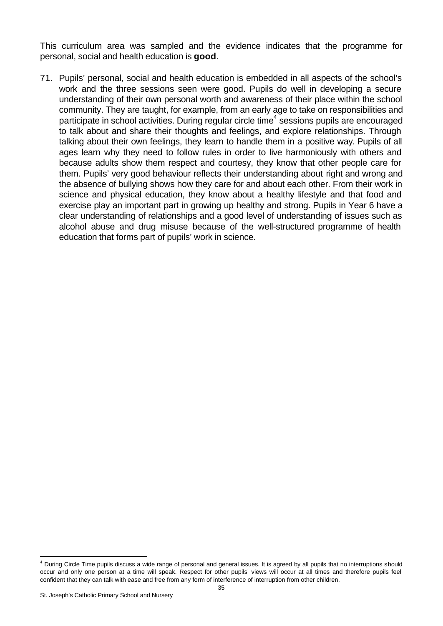This curriculum area was sampled and the evidence indicates that the programme for personal, social and health education is **good**.

71. Pupils' personal, social and health education is embedded in all aspects of the school's work and the three sessions seen were good. Pupils do well in developing a secure understanding of their own personal worth and awareness of their place within the school community. They are taught, for example, from an early age to take on responsibilities and participate in school activities. During regular circle time<sup>4</sup> sessions pupils are encouraged to talk about and share their thoughts and feelings, and explore relationships. Through talking about their own feelings, they learn to handle them in a positive way. Pupils of all ages learn why they need to follow rules in order to live harmoniously with others and because adults show them respect and courtesy, they know that other people care for them. Pupils' very good behaviour reflects their understanding about right and wrong and the absence of bullying shows how they care for and about each other. From their work in science and physical education, they know about a healthy lifestyle and that food and exercise play an important part in growing up healthy and strong. Pupils in Year 6 have a clear understanding of relationships and a good level of understanding of issues such as alcohol abuse and drug misuse because of the well-structured programme of health education that forms part of pupils' work in science.

<sup>&</sup>lt;sup>4</sup> During Circle Time pupils discuss a wide range of personal and general issues. It is agreed by all pupils that no interruptions should occur and only one person at a time will speak. Respect for other pupils' views will occur at all times and therefore pupils feel confident that they can talk with ease and free from any form of interference of interruption from other children.